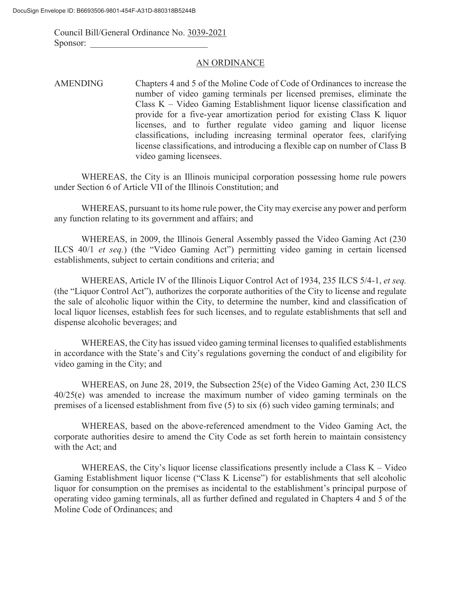Council Bill/General Ordinance No. 3039-2021 Sponsor:

#### AN ORDINANCE

AMENDING Chapters 4 and 5 of the Moline Code of Code of Ordinances to increase the number of video gaming terminals per licensed premises, eliminate the Class K – Video Gaming Establishment liquor license classification and provide for a five-year amortization period for existing Class K liquor licenses, and to further regulate video gaming and liquor license classifications, including increasing terminal operator fees, clarifying license classifications, and introducing a flexible cap on number of Class B video gaming licensees.

WHEREAS, the City is an Illinois municipal corporation possessing home rule powers under Section 6 of Article VII of the Illinois Constitution; and

WHEREAS, pursuant to its home rule power, the City may exercise any power and perform any function relating to its government and affairs; and

WHEREAS, in 2009, the Illinois General Assembly passed the Video Gaming Act (230 ILCS 40/1 *et seq.*) (the "Video Gaming Act") permitting video gaming in certain licensed establishments, subject to certain conditions and criteria; and

WHEREAS, Article IV of the Illinois Liquor Control Act of 1934, 235 ILCS 5/4-1, *et seq.*  (the "Liquor Control Act"), authorizes the corporate authorities of the City to license and regulate the sale of alcoholic liquor within the City, to determine the number, kind and classification of local liquor licenses, establish fees for such licenses, and to regulate establishments that sell and dispense alcoholic beverages; and

WHEREAS, the City has issued video gaming terminal licenses to qualified establishments in accordance with the State's and City's regulations governing the conduct of and eligibility for video gaming in the City; and

WHEREAS, on June 28, 2019, the Subsection 25(e) of the Video Gaming Act, 230 ILCS 40/25(e) was amended to increase the maximum number of video gaming terminals on the premises of a licensed establishment from five (5) to six (6) such video gaming terminals; and

WHEREAS, based on the above-referenced amendment to the Video Gaming Act, the corporate authorities desire to amend the City Code as set forth herein to maintain consistency with the Act; and

WHEREAS, the City's liquor license classifications presently include a Class  $K -$  Video Gaming Establishment liquor license ("Class K License") for establishments that sell alcoholic liquor for consumption on the premises as incidental to the establishment's principal purpose of operating video gaming terminals, all as further defined and regulated in Chapters 4 and 5 of the Moline Code of Ordinances; and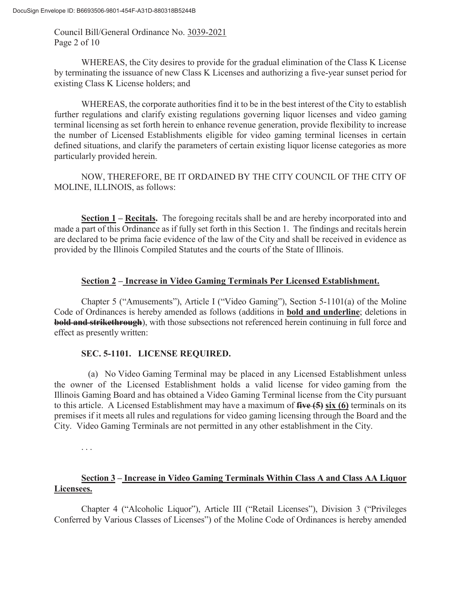Council Bill/General Ordinance No. 3039-2021 Page 2 of 10

WHEREAS, the City desires to provide for the gradual elimination of the Class K License by terminating the issuance of new Class K Licenses and authorizing a five-year sunset period for existing Class K License holders; and

WHEREAS, the corporate authorities find it to be in the best interest of the City to establish further regulations and clarify existing regulations governing liquor licenses and video gaming terminal licensing as set forth herein to enhance revenue generation, provide flexibility to increase the number of Licensed Establishments eligible for video gaming terminal licenses in certain defined situations, and clarify the parameters of certain existing liquor license categories as more particularly provided herein.

 NOW, THEREFORE, BE IT ORDAINED BY THE CITY COUNCIL OF THE CITY OF MOLINE, ILLINOIS, as follows:

**Section 1 – Recitals.** The foregoing recitals shall be and are hereby incorporated into and made a part of this Ordinance as if fully set forth in this Section 1. The findings and recitals herein are declared to be prima facie evidence of the law of the City and shall be received in evidence as provided by the Illinois Compiled Statutes and the courts of the State of Illinois.

## **Section 2 – Increase in Video Gaming Terminals Per Licensed Establishment.**

Chapter 5 ("Amusements"), Article I ("Video Gaming"), Section 5-1101(a) of the Moline Code of Ordinances is hereby amended as follows (additions in **bold and underline**; deletions in **bold and strikethrough**), with those subsections not referenced herein continuing in full force and effect as presently written:

# **SEC. 5-1101. LICENSE REQUIRED.**

 (a) No Video Gaming Terminal may be placed in any Licensed Establishment unless the owner of the Licensed Establishment holds a valid license for video gaming from the Illinois Gaming Board and has obtained a Video Gaming Terminal license from the City pursuant to this article. A Licensed Establishment may have a maximum of **five (5) six (6)** terminals on its premises if it meets all rules and regulations for video gaming licensing through the Board and the City. Video Gaming Terminals are not permitted in any other establishment in the City.

. . .

# **Section 3 – Increase in Video Gaming Terminals Within Class A and Class AA Liquor Licensees.**

Chapter 4 ("Alcoholic Liquor"), Article III ("Retail Licenses"), Division 3 ("Privileges Conferred by Various Classes of Licenses") of the Moline Code of Ordinances is hereby amended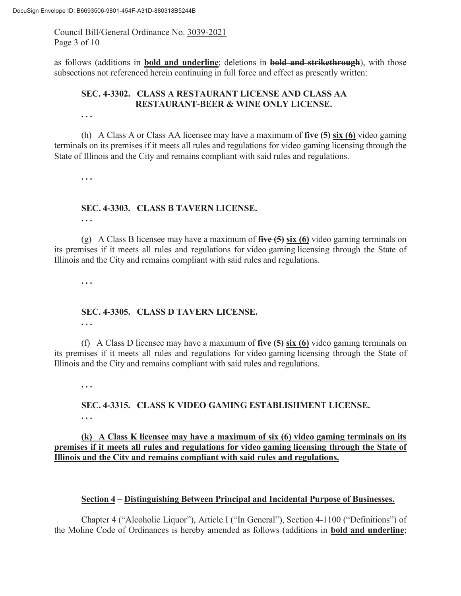Council Bill/General Ordinance No. 3039-2021 Page 3 of 10

as follows (additions in **bold and underline**; deletions in **bold and strikethrough**), with those subsections not referenced herein continuing in full force and effect as presently written:

## **SEC. 4-3302. CLASS A RESTAURANT LICENSE AND CLASS AA RESTAURANT-BEER & WINE ONLY LICENSE.**

(h) A Class A or Class AA licensee may have a maximum of **five (5) six (6)** video gaming terminals on its premises if it meets all rules and regulations for video gaming licensing through the State of Illinois and the City and remains compliant with said rules and regulations.

**. . .**

**. . .** 

## **SEC. 4-3303. CLASS B TAVERN LICENSE.**

**. . .** 

(g) A Class B licensee may have a maximum of **five (5) six (6)** video gaming terminals on its premises if it meets all rules and regulations for video gaming licensing through the State of Illinois and the City and remains compliant with said rules and regulations.

**. . .** 

# **SEC. 4-3305. CLASS D TAVERN LICENSE.**

**. . .** 

(f) A Class D licensee may have a maximum of **five (5) six (6)** video gaming terminals on its premises if it meets all rules and regulations for video gaming licensing through the State of Illinois and the City and remains compliant with said rules and regulations.

**. . .**

## **SEC. 4-3315. CLASS K VIDEO GAMING ESTABLISHMENT LICENSE. . . .**

### **(k) A Class K licensee may have a maximum of six (6) video gaming terminals on its premises if it meets all rules and regulations for video gaming licensing through the State of Illinois and the City and remains compliant with said rules and regulations.**

#### **Section 4 – Distinguishing Between Principal and Incidental Purpose of Businesses.**

Chapter 4 ("Alcoholic Liquor"), Article I ("In General"), Section 4-1100 ("Definitions") of the Moline Code of Ordinances is hereby amended as follows (additions in **bold and underline**;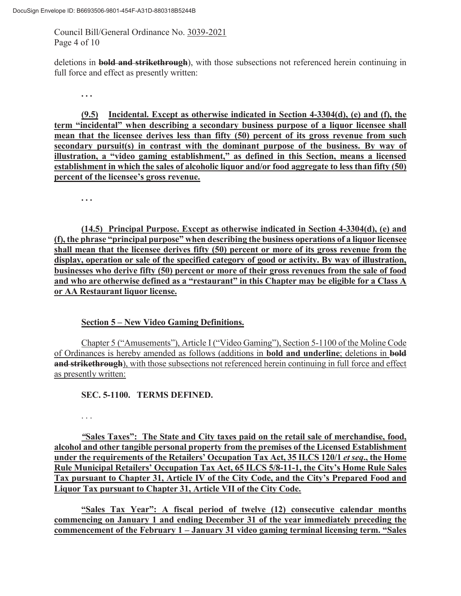Council Bill/General Ordinance No. 3039-2021 Page 4 of 10

deletions in **bold and strikethrough**), with those subsections not referenced herein continuing in full force and effect as presently written:

**. . .** 

**(9.5) Incidental. Except as otherwise indicated in Section 4-3304(d), (e) and (f), the term "incidental" when describing a secondary business purpose of a liquor licensee shall mean that the licensee derives less than fifty (50) percent of its gross revenue from such secondary pursuit(s) in contrast with the dominant purpose of the business. By way of illustration, a "video gaming establishment," as defined in this Section, means a licensed establishment in which the sales of alcoholic liquor and/or food aggregate to less than fifty (50) percent of the licensee's gross revenue.**

**. . .** 

**(14.5) Principal Purpose. Except as otherwise indicated in Section 4-3304(d), (e) and (f), the phrase "principal purpose" when describing the business operations of a liquor licensee shall mean that the licensee derives fifty (50) percent or more of its gross revenue from the display, operation or sale of the specified category of good or activity. By way of illustration, businesses who derive fifty (50) percent or more of their gross revenues from the sale of food and who are otherwise defined as a "restaurant" in this Chapter may be eligible for a Class A or AA Restaurant liquor license.** 

**Section 5 – New Video Gaming Definitions.** 

Chapter 5 ("Amusements"), Article I ("Video Gaming"), Section 5-1100 of the Moline Code of Ordinances is hereby amended as follows (additions in **bold and underline**; deletions in **bold and strikethrough**), with those subsections not referenced herein continuing in full force and effect as presently written:

**SEC. 5-1100. TERMS DEFINED.** 

. . .

*"***Sales Taxes": The State and City taxes paid on the retail sale of merchandise, food, alcohol and other tangible personal property from the premises of the Licensed Establishment under the requirements of the Retailers' Occupation Tax Act, 35 ILCS 120/1** *et seq***., the Home Rule Municipal Retailers' Occupation Tax Act, 65 ILCS 5/8-11-1, the City's Home Rule Sales Tax pursuant to Chapter 31, Article IV of the City Code, and the City's Prepared Food and Liquor Tax pursuant to Chapter 31, Article VII of the City Code.** 

**"Sales Tax Year": A fiscal period of twelve (12) consecutive calendar months commencing on January 1 and ending December 31 of the year immediately preceding the commencement of the February 1 – January 31 video gaming terminal licensing term. "Sales**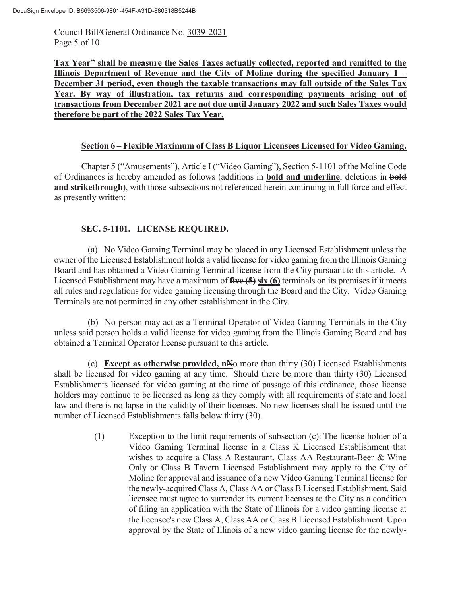Council Bill/General Ordinance No. 3039-2021 Page 5 of 10

**Tax Year" shall be measure the Sales Taxes actually collected, reported and remitted to the Illinois Department of Revenue and the City of Moline during the specified January 1 – December 31 period, even though the taxable transactions may fall outside of the Sales Tax Year. By way of illustration, tax returns and corresponding payments arising out of transactions from December 2021 are not due until January 2022 and such Sales Taxes would therefore be part of the 2022 Sales Tax Year.** 

### **Section 6 – Flexible Maximum of Class B Liquor Licensees Licensed for Video Gaming.**

Chapter 5 ("Amusements"), Article I ("Video Gaming"), Section 5-1101 of the Moline Code of Ordinances is hereby amended as follows (additions in **bold and underline**; deletions in **bold and strikethrough**), with those subsections not referenced herein continuing in full force and effect as presently written:

# **SEC. 5-1101. LICENSE REQUIRED.**

 (a) No Video Gaming Terminal may be placed in any Licensed Establishment unless the owner of the Licensed Establishment holds a valid license for video gaming from the Illinois Gaming Board and has obtained a Video Gaming Terminal license from the City pursuant to this article. A Licensed Establishment may have a maximum of **five (5) six (6)** terminals on its premises if it meets all rules and regulations for video gaming licensing through the Board and the City. Video Gaming Terminals are not permitted in any other establishment in the City.

 (b) No person may act as a Terminal Operator of Video Gaming Terminals in the City unless said person holds a valid license for video gaming from the Illinois Gaming Board and has obtained a Terminal Operator license pursuant to this article.

 (c) **Except as otherwise provided, nN**o more than thirty (30) Licensed Establishments shall be licensed for video gaming at any time. Should there be more than thirty (30) Licensed Establishments licensed for video gaming at the time of passage of this ordinance, those license holders may continue to be licensed as long as they comply with all requirements of state and local law and there is no lapse in the validity of their licenses. No new licenses shall be issued until the number of Licensed Establishments falls below thirty (30).

> (1) Exception to the limit requirements of subsection (c): The license holder of a Video Gaming Terminal license in a Class K Licensed Establishment that wishes to acquire a Class A Restaurant, Class AA Restaurant-Beer & Wine Only or Class B Tavern Licensed Establishment may apply to the City of Moline for approval and issuance of a new Video Gaming Terminal license for the newly-acquired Class A, Class AA or Class B Licensed Establishment. Said licensee must agree to surrender its current licenses to the City as a condition of filing an application with the State of Illinois for a video gaming license at the licensee's new Class A, Class AA or Class B Licensed Establishment. Upon approval by the State of Illinois of a new video gaming license for the newly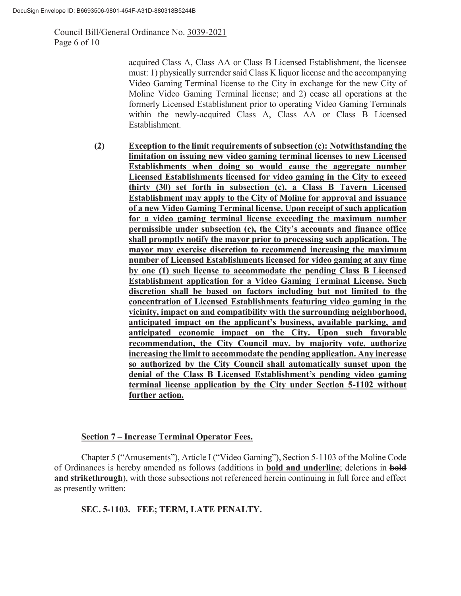Council Bill/General Ordinance No. 3039-2021 Page 6 of 10

> acquired Class A, Class AA or Class B Licensed Establishment, the licensee must: 1) physically surrender said Class K liquor license and the accompanying Video Gaming Terminal license to the City in exchange for the new City of Moline Video Gaming Terminal license; and 2) cease all operations at the formerly Licensed Establishment prior to operating Video Gaming Terminals within the newly-acquired Class A, Class AA or Class B Licensed Establishment.

**(2) Exception to the limit requirements of subsection (c): Notwithstanding the limitation on issuing new video gaming terminal licenses to new Licensed Establishments when doing so would cause the aggregate number Licensed Establishments licensed for video gaming in the City to exceed thirty (30) set forth in subsection (c), a Class B Tavern Licensed Establishment may apply to the City of Moline for approval and issuance of a new Video Gaming Terminal license. Upon receipt of such application for a video gaming terminal license exceeding the maximum number permissible under subsection (c), the City's accounts and finance office shall promptly notify the mayor prior to processing such application. The mayor may exercise discretion to recommend increasing the maximum number of Licensed Establishments licensed for video gaming at any time by one (1) such license to accommodate the pending Class B Licensed Establishment application for a Video Gaming Terminal License. Such discretion shall be based on factors including but not limited to the concentration of Licensed Establishments featuring video gaming in the vicinity, impact on and compatibility with the surrounding neighborhood, anticipated impact on the applicant's business, available parking, and anticipated economic impact on the City. Upon such favorable recommendation, the City Council may, by majority vote, authorize increasing the limit to accommodate the pending application. Any increase so authorized by the City Council shall automatically sunset upon the denial of the Class B Licensed Establishment's pending video gaming terminal license application by the City under Section 5-1102 without further action.** 

#### **Section 7 – Increase Terminal Operator Fees.**

Chapter 5 ("Amusements"), Article I ("Video Gaming"), Section 5-1103 of the Moline Code of Ordinances is hereby amended as follows (additions in **bold and underline**; deletions in **bold and strikethrough**), with those subsections not referenced herein continuing in full force and effect as presently written:

**SEC. 5-1103. FEE; TERM, LATE PENALTY.**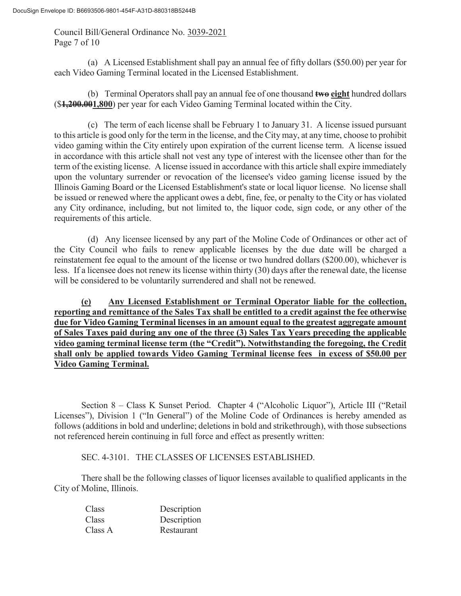Council Bill/General Ordinance No. 3039-2021 Page 7 of 10

 (a) A Licensed Establishment shall pay an annual fee of fifty dollars (\$50.00) per year for each Video Gaming Terminal located in the Licensed Establishment.

 (b) Terminal Operators shall pay an annual fee of one thousand **two eight** hundred dollars (\$**1,200.001,800**) per year for each Video Gaming Terminal located within the City.

 (c) The term of each license shall be February 1 to January 31. A license issued pursuant to this article is good only for the term in the license, and the City may, at any time, choose to prohibit video gaming within the City entirely upon expiration of the current license term. A license issued in accordance with this article shall not vest any type of interest with the licensee other than for the term of the existing license. A license issued in accordance with this article shall expire immediately upon the voluntary surrender or revocation of the licensee's video gaming license issued by the Illinois Gaming Board or the Licensed Establishment's state or local liquor license. No license shall be issued or renewed where the applicant owes a debt, fine, fee, or penalty to the City or has violated any City ordinance, including, but not limited to, the liquor code, sign code, or any other of the requirements of this article.

 (d) Any licensee licensed by any part of the Moline Code of Ordinances or other act of the City Council who fails to renew applicable licenses by the due date will be charged a reinstatement fee equal to the amount of the license or two hundred dollars (\$200.00), whichever is less. If a licensee does not renew its license within thirty (30) days after the renewal date, the license will be considered to be voluntarily surrendered and shall not be renewed.

**(e) Any Licensed Establishment or Terminal Operator liable for the collection, reporting and remittance of the Sales Tax shall be entitled to a credit against the fee otherwise due for Video Gaming Terminal licenses in an amount equal to the greatest aggregate amount of Sales Taxes paid during any one of the three (3) Sales Tax Years preceding the applicable video gaming terminal license term (the "Credit"). Notwithstanding the foregoing, the Credit shall only be applied towards Video Gaming Terminal license fees in excess of \$50.00 per Video Gaming Terminal.** 

Section 8 – Class K Sunset Period. Chapter 4 ("Alcoholic Liquor"), Article III ("Retail Licenses"), Division 1 ("In General") of the Moline Code of Ordinances is hereby amended as follows (additions in bold and underline; deletions in bold and strikethrough), with those subsections not referenced herein continuing in full force and effect as presently written:

SEC. 4-3101. THE CLASSES OF LICENSES ESTABLISHED.

There shall be the following classes of liquor licenses available to qualified applicants in the City of Moline, Illinois.

| Class   | Description |
|---------|-------------|
| Class   | Description |
| Class A | Restaurant  |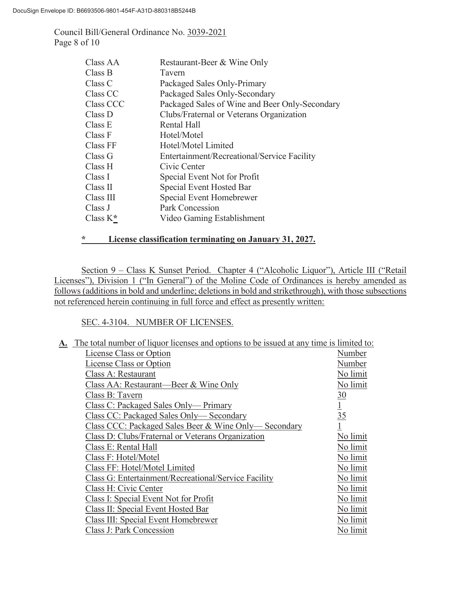Council Bill/General Ordinance No. 3039-2021 Page 8 of 10

| Class AA    | Restaurant-Beer & Wine Only                    |
|-------------|------------------------------------------------|
| Class B     | Tavern                                         |
| Class C     | Packaged Sales Only-Primary                    |
| Class CC    | Packaged Sales Only-Secondary                  |
| Class CCC   | Packaged Sales of Wine and Beer Only-Secondary |
| Class D     | Clubs/Fraternal or Veterans Organization       |
| Class E     | <b>Rental Hall</b>                             |
| Class F     | Hotel/Motel                                    |
| Class FF    | Hotel/Motel Limited                            |
| Class G     | Entertainment/Recreational/Service Facility    |
| Class H     | Civic Center                                   |
| Class I     | Special Event Not for Profit                   |
| Class II    | Special Event Hosted Bar                       |
| Class III   | Special Event Homebrewer                       |
| Class J     | Park Concession                                |
| Class $K^*$ | Video Gaming Establishment                     |

### **\* License classification terminating on January 31, 2027.**

Section 9 – Class K Sunset Period. Chapter 4 ("Alcoholic Liquor"), Article III ("Retail Licenses"), Division 1 ("In General") of the Moline Code of Ordinances is hereby amended as follows (additions in bold and underline; deletions in bold and strikethrough), with those subsections not referenced herein continuing in full force and effect as presently written:

#### SEC. 4-3104. NUMBER OF LICENSES.

| A. The total number of liquor licenses and options to be issued at any time is limited to: |                |
|--------------------------------------------------------------------------------------------|----------------|
| License Class or Option                                                                    | Number         |
| License Class or Option                                                                    | Number         |
| Class A: Restaurant                                                                        | No limit       |
| Class AA: Restaurant—Beer & Wine Only                                                      | No limit       |
| Class B: Tavern                                                                            | $\frac{30}{5}$ |
| Class C: Packaged Sales Only— Primary                                                      |                |
| Class CC: Packaged Sales Only—Secondary                                                    | $\frac{1}{35}$ |
| Class CCC: Packaged Sales Beer & Wine Only—Secondary                                       | $\overline{1}$ |
| Class D: Clubs/Fraternal or Veterans Organization                                          | No limit       |
| Class E: Rental Hall                                                                       | No limit       |
| Class F: Hotel/Motel                                                                       | No limit       |
| Class FF: Hotel/Motel Limited                                                              | No limit       |
| Class G: Entertainment/Recreational/Service Facility                                       | No limit       |
| Class H: Civic Center                                                                      | No limit       |
| Class I: Special Event Not for Profit                                                      | No limit       |
| Class II: Special Event Hosted Bar                                                         | No limit       |
| Class III: Special Event Homebrewer                                                        | No limit       |
| Class J: Park Concession                                                                   | No limit       |
|                                                                                            |                |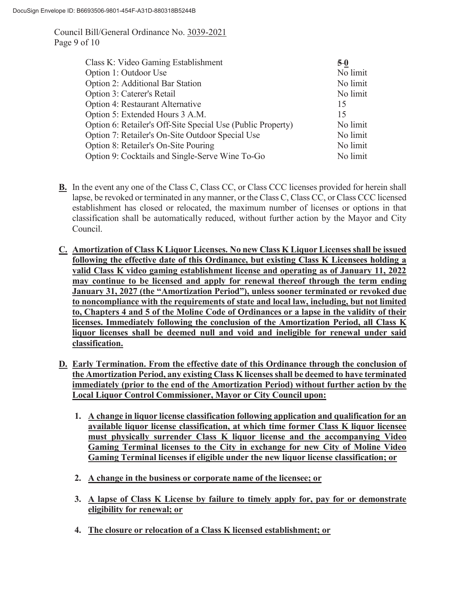Council Bill/General Ordinance No. 3039-2021 Page 9 of 10

| Class K: Video Gaming Establishment                         | $5-0$    |
|-------------------------------------------------------------|----------|
| Option 1: Outdoor Use                                       | No limit |
| Option 2: Additional Bar Station                            | No limit |
| Option 3: Caterer's Retail                                  | No limit |
| Option 4: Restaurant Alternative                            | 15       |
| Option 5: Extended Hours 3 A.M.                             | 15       |
| Option 6: Retailer's Off-Site Special Use (Public Property) | No limit |
| Option 7: Retailer's On-Site Outdoor Special Use            | No limit |
| Option 8: Retailer's On-Site Pouring                        | No limit |
| Option 9: Cocktails and Single-Serve Wine To-Go             | No limit |

- **B.** In the event any one of the Class C, Class CC, or Class CCC licenses provided for herein shall lapse, be revoked or terminated in any manner, or the Class C, Class CC, or Class CCC licensed establishment has closed or relocated, the maximum number of licenses or options in that classification shall be automatically reduced, without further action by the Mayor and City Council.
- **C. Amortization of Class K Liquor Licenses. No new Class K Liquor Licenses shall be issued following the effective date of this Ordinance, but existing Class K Licensees holding a valid Class K video gaming establishment license and operating as of January 11, 2022 may continue to be licensed and apply for renewal thereof through the term ending January 31, 2027 (the "Amortization Period"), unless sooner terminated or revoked due to noncompliance with the requirements of state and local law, including, but not limited to, Chapters 4 and 5 of the Moline Code of Ordinances or a lapse in the validity of their licenses. Immediately following the conclusion of the Amortization Period, all Class K liquor licenses shall be deemed null and void and ineligible for renewal under said classification.**
- **D. Early Termination. From the effective date of this Ordinance through the conclusion of the Amortization Period, any existing Class K licenses shall be deemed to have terminated immediately (prior to the end of the Amortization Period) without further action by the Local Liquor Control Commissioner, Mayor or City Council upon:** 
	- **1. A change in liquor license classification following application and qualification for an available liquor license classification, at which time former Class K liquor licensee must physically surrender Class K liquor license and the accompanying Video Gaming Terminal licenses to the City in exchange for new City of Moline Video Gaming Terminal licenses if eligible under the new liquor license classification; or**
	- **2. A change in the business or corporate name of the licensee; or**
	- **3. A lapse of Class K License by failure to timely apply for, pay for or demonstrate eligibility for renewal; or**
	- **4. The closure or relocation of a Class K licensed establishment; or**